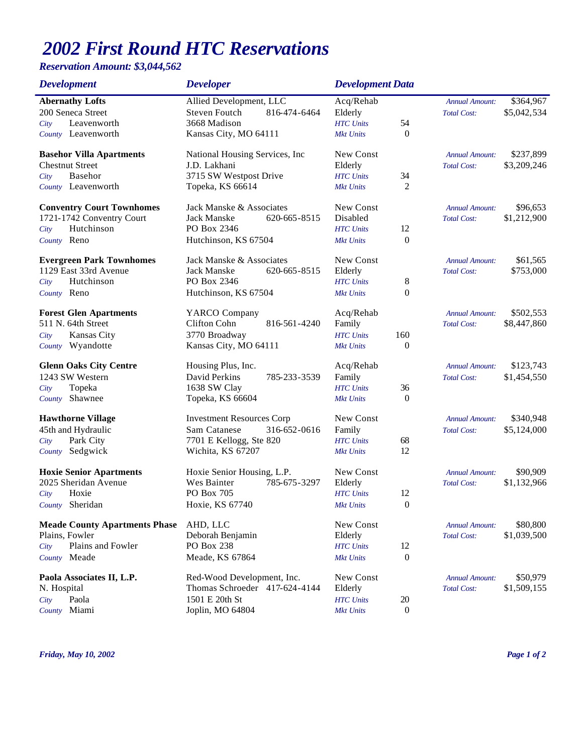## *2002 First Round HTC Reservations*

## *Reservation Amount: \$3,044,562*

| <b>Development</b>                   | <b>Developer</b>                 |              | <b>Development Data</b> |                  |                       |             |
|--------------------------------------|----------------------------------|--------------|-------------------------|------------------|-----------------------|-------------|
| <b>Abernathy Lofts</b>               | Allied Development, LLC          |              | Acq/Rehab               |                  | <b>Annual Amount:</b> | \$364,967   |
| 200 Seneca Street                    | Steven Foutch                    | 816-474-6464 | Elderly                 |                  | <b>Total Cost:</b>    | \$5,042,534 |
| Leavenworth<br>City                  | 3668 Madison                     |              | <b>HTC</b> Units        | 54               |                       |             |
| County Leavenworth                   | Kansas City, MO 64111            |              | <b>Mkt Units</b>        | 0                |                       |             |
| <b>Basehor Villa Apartments</b>      | National Housing Services, Inc.  |              | New Const               |                  | <b>Annual Amount:</b> | \$237,899   |
| <b>Chestnut Street</b>               | J.D. Lakhani                     |              | Elderly                 |                  | <b>Total Cost:</b>    | \$3,209,246 |
| Basehor<br>City                      | 3715 SW Westpost Drive           |              | <b>HTC</b> Units        | 34               |                       |             |
| County Leavenworth                   | Topeka, KS 66614                 |              | <b>Mkt Units</b>        | 2                |                       |             |
| <b>Conventry Court Townhomes</b>     | Jack Manske & Associates         |              | New Const               |                  | <b>Annual Amount:</b> | \$96,653    |
| 1721-1742 Conventry Court            | Jack Manske                      | 620-665-8515 | Disabled                |                  | <b>Total Cost:</b>    | \$1,212,900 |
| Hutchinson<br>City                   | PO Box 2346                      |              | <b>HTC</b> Units        | 12               |                       |             |
| County Reno                          | Hutchinson, KS 67504             |              | <b>Mkt Units</b>        | $\boldsymbol{0}$ |                       |             |
| <b>Evergreen Park Townhomes</b>      | Jack Manske & Associates         |              | New Const               |                  | <b>Annual Amount:</b> | \$61,565    |
| 1129 East 33rd Avenue                | Jack Manske                      | 620-665-8515 | Elderly                 |                  | <b>Total Cost:</b>    | \$753,000   |
| Hutchinson<br>City                   | PO Box 2346                      |              | <b>HTC</b> Units        | 8                |                       |             |
| County Reno                          | Hutchinson, KS 67504             |              | <b>Mkt Units</b>        | $\boldsymbol{0}$ |                       |             |
| <b>Forest Glen Apartments</b>        | YARCO Company                    |              | Acq/Rehab               |                  | <b>Annual Amount:</b> | \$502,553   |
| 511 N. 64th Street                   | Clifton Cohn                     | 816-561-4240 | Family                  |                  | <b>Total Cost:</b>    | \$8,447,860 |
| Kansas City<br>City                  | 3770 Broadway                    |              | <b>HTC</b> Units        | 160              |                       |             |
| County Wyandotte                     | Kansas City, MO 64111            |              | <b>Mkt Units</b>        | $\boldsymbol{0}$ |                       |             |
| <b>Glenn Oaks City Centre</b>        | Housing Plus, Inc.               |              | Acq/Rehab               |                  | <b>Annual Amount:</b> | \$123,743   |
| 1243 SW Western                      | David Perkins                    | 785-233-3539 | Family                  |                  | <b>Total Cost:</b>    | \$1,454,550 |
| Topeka<br>City                       | 1638 SW Clay                     |              | <b>HTC</b> Units        | 36               |                       |             |
| Shawnee<br>County                    | Topeka, KS 66604                 |              | <b>Mkt Units</b>        | $\mathbf{0}$     |                       |             |
| <b>Hawthorne Village</b>             | <b>Investment Resources Corp</b> |              | New Const               |                  | <b>Annual Amount:</b> | \$340,948   |
| 45th and Hydraulic                   | Sam Catanese                     | 316-652-0616 | Family                  |                  | <b>Total Cost:</b>    | \$5,124,000 |
| Park City<br>City                    | 7701 E Kellogg, Ste 820          |              | <b>HTC</b> Units        | 68               |                       |             |
| Sedgwick<br>County                   | Wichita, KS 67207                |              | <b>Mkt Units</b>        | 12               |                       |             |
| <b>Hoxie Senior Apartments</b>       | Hoxie Senior Housing, L.P.       |              | New Const               |                  | <b>Annual Amount:</b> | \$90,909    |
| 2025 Sheridan Avenue                 | Wes Bainter                      | 785-675-3297 | Elderly                 |                  | <b>Total Cost:</b>    | \$1,132,966 |
| Hoxie<br>City                        | PO Box 705                       |              | <b>HTC</b> Units        | 12               |                       |             |
| County Sheridan                      | Hoxie, KS 67740                  |              | <b>Mkt Units</b>        | $\boldsymbol{0}$ |                       |             |
| <b>Meade County Apartments Phase</b> | AHD, LLC                         |              | New Const               |                  | <b>Annual Amount:</b> | \$80,800    |
| Plains, Fowler                       | Deborah Benjamin                 |              | Elderly                 |                  | <b>Total Cost:</b>    | \$1,039,500 |
| Plains and Fowler<br>City            | PO Box 238                       |              | <b>HTC</b> Units        | 12               |                       |             |
| County Meade                         | Meade, KS 67864                  |              | <b>Mkt Units</b>        | $\boldsymbol{0}$ |                       |             |
| Paola Associates II, L.P.            | Red-Wood Development, Inc.       |              | New Const               |                  | <b>Annual Amount:</b> | \$50,979    |
| N. Hospital                          | Thomas Schroeder 417-624-4144    |              | Elderly                 |                  | <b>Total Cost:</b>    | \$1,509,155 |
| Paola<br>City                        | 1501 E 20th St                   |              | <b>HTC</b> Units        | 20               |                       |             |
| Miami<br>County                      | Joplin, MO 64804                 |              | <b>Mkt Units</b>        | $\boldsymbol{0}$ |                       |             |